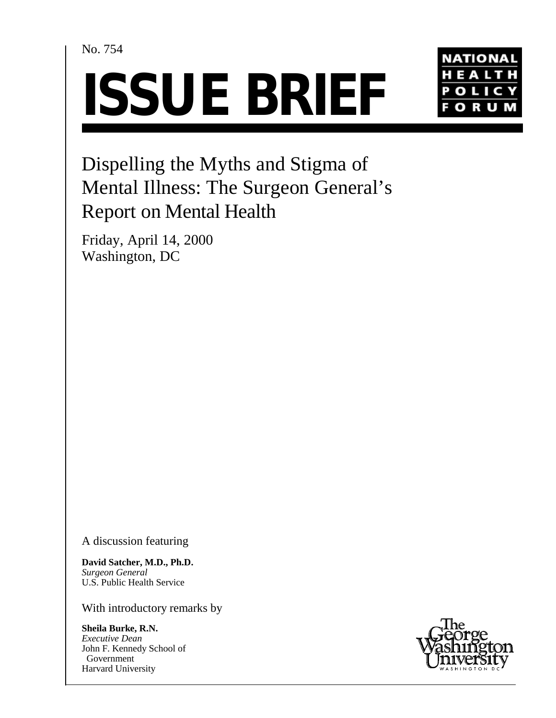# No. 754





# Dispelling the Myths and Stigma of Mental Illness: The Surgeon General's Report on Mental Health

Friday, April 14, 2000 Washington, DC

A discussion featuring

**David Satcher, M.D., Ph.D.** *Surgeon General* U.S. Public Health Service

With introductory remarks by

**Sheila Burke, R.N.** *Executive Dean* John F. Kennedy School of Government Harvard University

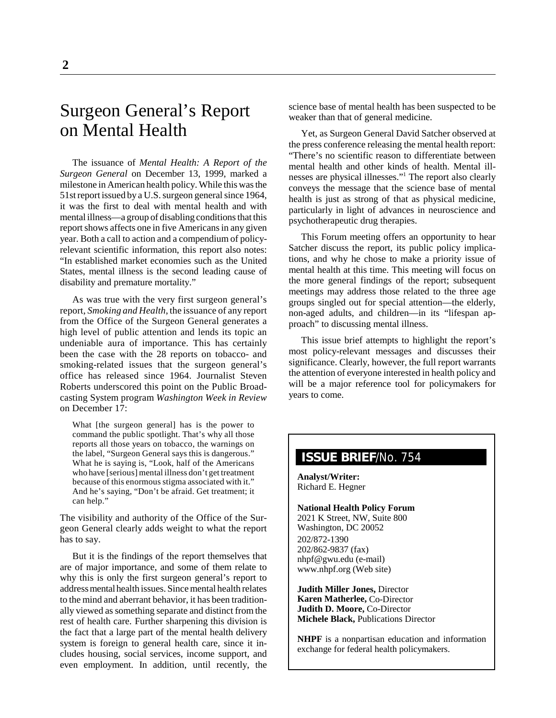# Surgeon General's Report on Mental Health

The issuance of *Mental Health: A Report of the Surgeon General* on December 13, 1999, marked a milestone in American health policy. While this was the 51st report issued by a U.S. surgeon general since 1964, it was the first to deal with mental health and with mental illness—a group of disabling conditions that this report shows affects one in five Americans in any given year. Both a call to action and a compendium of policyrelevant scientific information, this report also notes: "In established market economies such as the United States, mental illness is the second leading cause of disability and premature mortality."

As was true with the very first surgeon general's report, *Smoking and Health*, the issuance of any report from the Office of the Surgeon General generates a high level of public attention and lends its topic an undeniable aura of importance. This has certainly been the case with the 28 reports on tobacco- and smoking-related issues that the surgeon general's office has released since 1964. Journalist Steven Roberts underscored this point on the Public Broadcasting System program *Washington Week in Review* on December 17:

What [the surgeon general] has is the power to command the public spotlight. That's why all those reports all those years on tobacco, the warnings on the label, "Surgeon General says this is dangerous." What he is saying is, "Look, half of the Americans who have [serious] mental illness don't get treatment because of this enormous stigma associated with it." And he's saying, "Don't be afraid. Get treatment; it can help."

The visibility and authority of the Office of the Surgeon General clearly adds weight to what the report has to say.

But it is the findings of the report themselves that are of major importance, and some of them relate to why this is only the first surgeon general's report to address mental health issues. Since mental health relates to the mind and aberrant behavior, it has been traditionally viewed as something separate and distinct from the rest of health care. Further sharpening this division is the fact that a large part of the mental health delivery system is foreign to general health care, since it includes housing, social services, income support, and even employment. In addition, until recently, the

science base of mental health has been suspected to be weaker than that of general medicine.

Yet, as Surgeon General David Satcher observed at the press conference releasing the mental health report: "There's no scientific reason to differentiate between mental health and other kinds of health. Mental illnesses are physical illnesses."<sup>1</sup> The report also clearly conveys the message that the science base of mental health is just as strong of that as physical medicine, particularly in light of advances in neuroscience and psychotherapeutic drug therapies.

This Forum meeting offers an opportunity to hear Satcher discuss the report, its public policy implications, and why he chose to make a priority issue of mental health at this time. This meeting will focus on the more general findings of the report; subsequent meetings may address those related to the three age groups singled out for special attention—the elderly, non-aged adults, and children—in its "lifespan approach" to discussing mental illness.

This issue brief attempts to highlight the report's most policy-relevant messages and discusses their significance. Clearly, however, the full report warrants the attention of everyone interested in health policy and will be a major reference tool for policymakers for years to come.

# **ISSUE BRIEF**/No. 754

**Analyst/Writer:** Richard E. Hegner

**National Health Policy Forum** 2021 K Street, NW, Suite 800 Washington, DC 20052 202/872-1390 202/862-9837 (fax) nhpf@gwu.edu (e-mail) www.nhpf.org (Web site)

**Judith Miller Jones,** Director **Karen Matherlee,** Co-Director **Judith D. Moore,** Co-Director **Michele Black,** Publications Director

**NHPF** is a nonpartisan education and information exchange for federal health policymakers.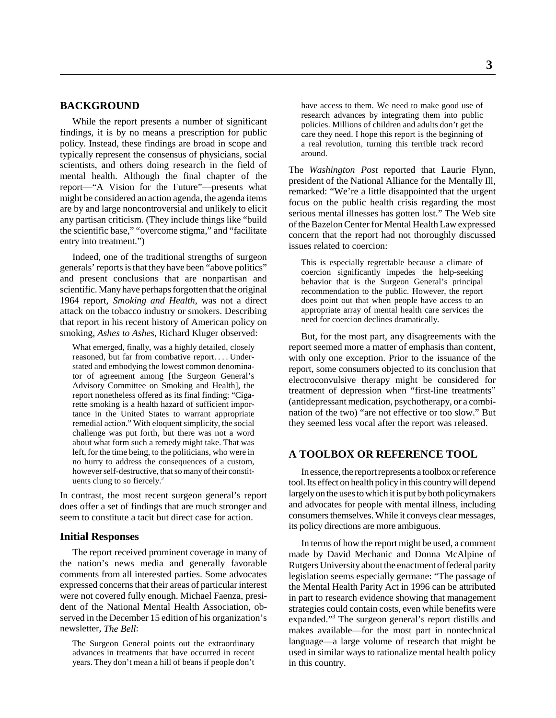# **BACKGROUND**

While the report presents a number of significant findings, it is by no means a prescription for public policy. Instead, these findings are broad in scope and typically represent the consensus of physicians, social scientists, and others doing research in the field of mental health. Although the final chapter of the report—"A Vision for the Future"—presents what might be considered an action agenda, the agenda items are by and large noncontroversial and unlikely to elicit any partisan criticism. (They include things like "build the scientific base," "overcome stigma," and "facilitate entry into treatment.")

Indeed, one of the traditional strengths of surgeon generals' reports is that they have been "above politics" and present conclusions that are nonpartisan and scientific. Many have perhaps forgotten that the original 1964 report, *Smoking and Health*, was not a direct attack on the tobacco industry or smokers. Describing that report in his recent history of American policy on smoking, *Ashes to Ashes*, Richard Kluger observed:

What emerged, finally, was a highly detailed, closely reasoned, but far from combative report. . . . Understated and embodying the lowest common denominator of agreement among [the Surgeon General's Advisory Committee on Smoking and Health], the report nonetheless offered as its final finding: "Cigarette smoking is a health hazard of sufficient importance in the United States to warrant appropriate remedial action." With eloquent simplicity, the social challenge was put forth, but there was not a word about what form such a remedy might take. That was left, for the time being, to the politicians, who were in no hurry to address the consequences of a custom, however self-destructive, that so many of their constituents clung to so fiercely.2

In contrast, the most recent surgeon general's report does offer a set of findings that are much stronger and seem to constitute a tacit but direct case for action.

#### **Initial Responses**

The report received prominent coverage in many of the nation's news media and generally favorable comments from all interested parties. Some advocates expressed concerns that their areas of particular interest were not covered fully enough. Michael Faenza, president of the National Mental Health Association, observed in the December 15 edition of his organization's newsletter, *The Bell*:

The Surgeon General points out the extraordinary advances in treatments that have occurred in recent years. They don't mean a hill of beans if people don't have access to them. We need to make good use of research advances by integrating them into public policies. Millions of children and adults don't get the care they need. I hope this report is the beginning of a real revolution, turning this terrible track record around.

The *Washington Post* reported that Laurie Flynn, president of the National Alliance for the Mentally Ill, remarked: "We're a little disappointed that the urgent focus on the public health crisis regarding the most serious mental illnesses has gotten lost." The Web site of the Bazelon Center for Mental Health Law expressed concern that the report had not thoroughly discussed issues related to coercion:

This is especially regrettable because a climate of coercion significantly impedes the help-seeking behavior that is the Surgeon General's principal recommendation to the public. However, the report does point out that when people have access to an appropriate array of mental health care services the need for coercion declines dramatically.

But, for the most part, any disagreements with the report seemed more a matter of emphasis than content, with only one exception. Prior to the issuance of the report, some consumers objected to its conclusion that electroconvulsive therapy might be considered for treatment of depression when "first-line treatments" (antidepressant medication, psychotherapy, or a combination of the two) "are not effective or too slow." But they seemed less vocal after the report was released.

# **A TOOLBOX OR REFERENCE TOOL**

In essence, the report represents a toolbox or reference tool. Its effect on health policy in this country will depend largely on the uses to which it is put by both policymakers and advocates for people with mental illness, including consumers themselves. While it conveys clear messages, its policy directions are more ambiguous.

In terms of how the report might be used, a comment made by David Mechanic and Donna McAlpine of Rutgers University about the enactment of federal parity legislation seems especially germane: "The passage of the Mental Health Parity Act in 1996 can be attributed in part to research evidence showing that management strategies could contain costs, even while benefits were expanded."<sup>3</sup> The surgeon general's report distills and makes available—for the most part in nontechnical language—a large volume of research that might be used in similar ways to rationalize mental health policy in this country.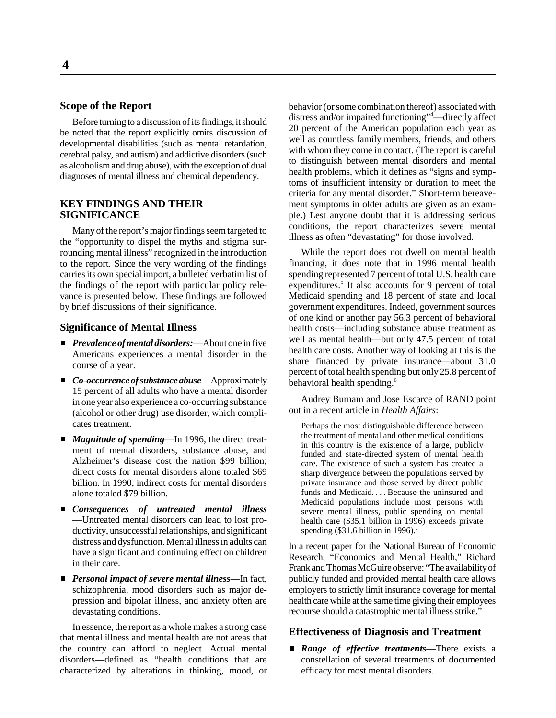# **Scope of the Report**

Before turning to a discussion of its findings, it should be noted that the report explicitly omits discussion of developmental disabilities (such as mental retardation, cerebral palsy, and autism) and addictive disorders (such as alcoholism and drug abuse), with the exception of dual diagnoses of mental illness and chemical dependency.

# **KEY FINDINGS AND THEIR SIGNIFICANCE**

Many of the report's major findings seem targeted to the "opportunity to dispel the myths and stigma surrounding mental illness" recognized in the introduction to the report. Since the very wording of the findings carries its own special import, a bulleted verbatim list of the findings of the report with particular policy relevance is presented below. These findings are followed by brief discussions of their significance.

#### **Significance of Mental Illness**

- *Prevalence of mental disorders:*—About one in five Americans experiences a mental disorder in the course of a year.
- *Co-occurrence of substance abuse*—Approximately 15 percent of all adults who have a mental disorder in one year also experience a co-occurring substance (alcohol or other drug) use disorder, which complicates treatment.
- *Magnitude of spending*—In 1996, the direct treatment of mental disorders, substance abuse, and Alzheimer's disease cost the nation \$99 billion; direct costs for mental disorders alone totaled \$69 billion. In 1990, indirect costs for mental disorders alone totaled \$79 billion.
- *Consequences of untreated mental illness* —Untreated mental disorders can lead to lost productivity, unsuccessful relationships, and significant distress and dysfunction. Mental illness in adults can have a significant and continuing effect on children in their care.
- *Personal impact of severe mental illness*—In fact, schizophrenia, mood disorders such as major depression and bipolar illness, and anxiety often are devastating conditions.

In essence, the report as a whole makes a strong case that mental illness and mental health are not areas that the country can afford to neglect. Actual mental disorders—defined as "health conditions that are characterized by alterations in thinking, mood, or behavior (or some combination thereof) associated with distress and/or impaired functioning"4 **—**directly affect 20 percent of the American population each year as well as countless family members, friends, and others with whom they come in contact. (The report is careful to distinguish between mental disorders and mental health problems, which it defines as "signs and symptoms of insufficient intensity or duration to meet the criteria for any mental disorder." Short-term bereavement symptoms in older adults are given as an example.) Lest anyone doubt that it is addressing serious conditions, the report characterizes severe mental illness as often "devastating" for those involved.

While the report does not dwell on mental health financing, it does note that in 1996 mental health spending represented 7 percent of total U.S. health care expenditures.<sup>5</sup> It also accounts for 9 percent of total Medicaid spending and 18 percent of state and local government expenditures. Indeed, government sources of one kind or another pay 56.3 percent of behavioral health costs—including substance abuse treatment as well as mental health—but only 47.5 percent of total health care costs. Another way of looking at this is the share financed by private insurance—about 31.0 percent of total health spending but only 25.8 percent of behavioral health spending.<sup>6</sup>

Audrey Burnam and Jose Escarce of RAND point out in a recent article in *Health Affairs*:

Perhaps the most distinguishable difference between the treatment of mental and other medical conditions in this country is the existence of a large, publicly funded and state-directed system of mental health care. The existence of such a system has created a sharp divergence between the populations served by private insurance and those served by direct public funds and Medicaid. . . . Because the uninsured and Medicaid populations include most persons with severe mental illness, public spending on mental health care (\$35.1 billion in 1996) exceeds private spending (\$31.6 billion in 1996).<sup>7</sup>

In a recent paper for the National Bureau of Economic Research, "Economics and Mental Health," Richard Frank and Thomas McGuire observe: "The availability of publicly funded and provided mental health care allows employers to strictly limit insurance coverage for mental health care while at the same time giving their employees recourse should a catastrophic mental illness strike."

#### **Effectiveness of Diagnosis and Treatment**

 *Range of effective treatments*—There exists a constellation of several treatments of documented efficacy for most mental disorders.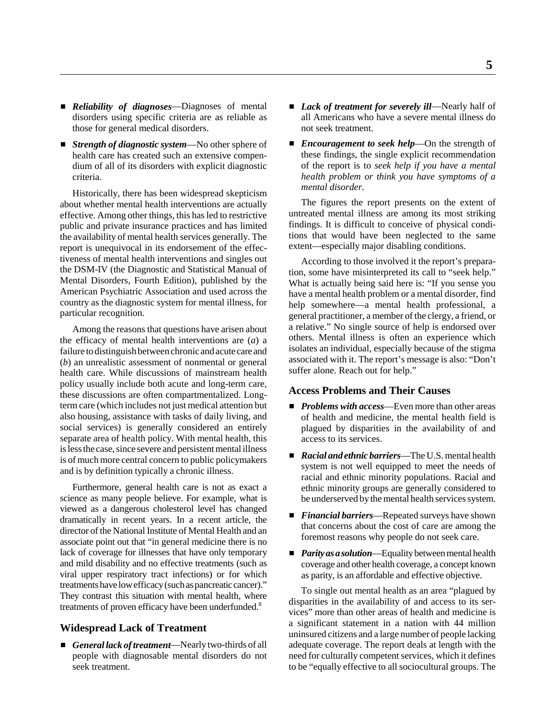- *Reliability of diagnoses*—Diagnoses of mental disorders using specific criteria are as reliable as those for general medical disorders.
- *Strength of diagnostic system*—No other sphere of health care has created such an extensive compendium of all of its disorders with explicit diagnostic criteria.

Historically, there has been widespread skepticism about whether mental health interventions are actually effective. Among other things, this has led to restrictive public and private insurance practices and has limited the availability of mental health services generally. The report is unequivocal in its endorsement of the effectiveness of mental health interventions and singles out the DSM-IV (the Diagnostic and Statistical Manual of Mental Disorders, Fourth Edition), published by the American Psychiatric Association and used across the country as the diagnostic system for mental illness, for particular recognition.

Among the reasons that questions have arisen about the efficacy of mental health interventions are (*a*) a failure to distinguish between chronic and acute care and (*b*) an unrealistic assessment of nonmental or general health care. While discussions of mainstream health policy usually include both acute and long-term care, these discussions are often compartmentalized. Longterm care (which includes not just medical attention but also housing, assistance with tasks of daily living, and social services) is generally considered an entirely separate area of health policy. With mental health, this is less the case, since severe and persistent mental illness is of much more central concern to public policymakers and is by definition typically a chronic illness.

Furthermore, general health care is not as exact a science as many people believe. For example, what is viewed as a dangerous cholesterol level has changed dramatically in recent years. In a recent article, the director of the National Institute of Mental Health and an associate point out that "in general medicine there is no lack of coverage for illnesses that have only temporary and mild disability and no effective treatments (such as viral upper respiratory tract infections) or for which treatments have low efficacy (such as pancreatic cancer)." They contrast this situation with mental health, where treatments of proven efficacy have been underfunded.<sup>8</sup>

# **Widespread Lack of Treatment**

 *General lack of treatment*—Nearly two-thirds of all people with diagnosable mental disorders do not seek treatment.

- *Lack of treatment for severely ill*—Nearly half of all Americans who have a severe mental illness do not seek treatment.
- *Encouragement to seek help*—On the strength of these findings, the single explicit recommendation of the report is to *seek help if you have a mental health problem or think you have symptoms of a mental disorder.*

The figures the report presents on the extent of untreated mental illness are among its most striking findings. It is difficult to conceive of physical conditions that would have been neglected to the same extent—especially major disabling conditions.

According to those involved it the report's preparation, some have misinterpreted its call to "seek help." What is actually being said here is: "If you sense you have a mental health problem or a mental disorder, find help somewhere—a mental health professional, a general practitioner, a member of the clergy, a friend, or a relative." No single source of help is endorsed over others. Mental illness is often an experience which isolates an individual, especially because of the stigma associated with it. The report's message is also: "Don't suffer alone. Reach out for help."

# **Access Problems and Their Causes**

- *Problems with access*—Even more than other areas of health and medicine, the mental health field is plagued by disparities in the availability of and access to its services.
- *Racial and ethnic barriers*—The U.S. mental health system is not well equipped to meet the needs of racial and ethnic minority populations. Racial and ethnic minority groups are generally considered to be underserved by the mental health services system.
- *Financial barriers*—Repeated surveys have shown that concerns about the cost of care are among the foremost reasons why people do not seek care.
- *Parity as a solution*—Equality between mental health coverage and other health coverage, a concept known as parity, is an affordable and effective objective.

To single out mental health as an area "plagued by disparities in the availability of and access to its services" more than other areas of health and medicine is a significant statement in a nation with 44 million uninsured citizens and a large number of people lacking adequate coverage. The report deals at length with the need for culturally competent services, which it defines to be "equally effective to all sociocultural groups. The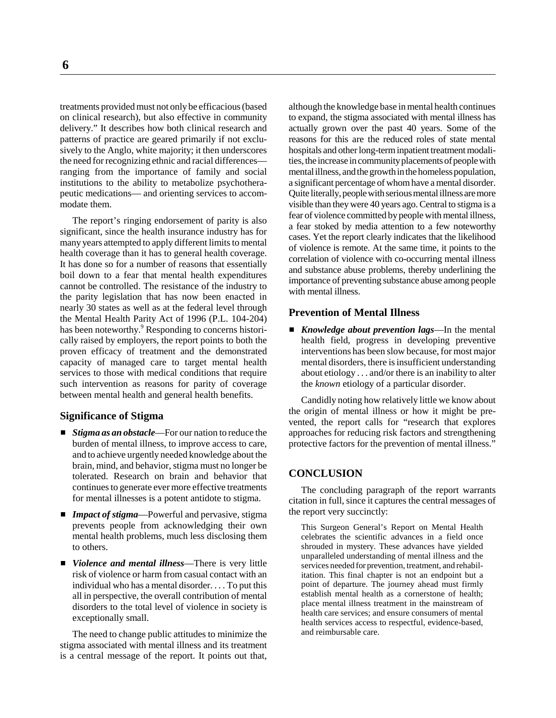treatments provided must not only be efficacious (based on clinical research), but also effective in community delivery." It describes how both clinical research and patterns of practice are geared primarily if not exclusively to the Anglo, white majority; it then underscores the need for recognizing ethnic and racial differences ranging from the importance of family and social institutions to the ability to metabolize psychotherapeutic medications— and orienting services to accommodate them.

The report's ringing endorsement of parity is also significant, since the health insurance industry has for many years attempted to apply different limits to mental health coverage than it has to general health coverage. It has done so for a number of reasons that essentially boil down to a fear that mental health expenditures cannot be controlled. The resistance of the industry to the parity legislation that has now been enacted in nearly 30 states as well as at the federal level through the Mental Health Parity Act of 1996 (P.L. 104-204) has been noteworthy.<sup>9</sup> Responding to concerns historically raised by employers, the report points to both the proven efficacy of treatment and the demonstrated capacity of managed care to target mental health services to those with medical conditions that require such intervention as reasons for parity of coverage between mental health and general health benefits.

#### **Significance of Stigma**

- *Stigma as an obstacle*—For our nation to reduce the burden of mental illness, to improve access to care, and to achieve urgently needed knowledge about the brain, mind, and behavior, stigma must no longer be tolerated. Research on brain and behavior that continues to generate ever more effective treatments for mental illnesses is a potent antidote to stigma.
- *Impact of stigma*—Powerful and pervasive, stigma prevents people from acknowledging their own mental health problems, much less disclosing them to others.
- *Violence and mental illness*—There is very little risk of violence or harm from casual contact with an individual who has a mental disorder. . . . To put this all in perspective, the overall contribution of mental disorders to the total level of violence in society is exceptionally small.

The need to change public attitudes to minimize the stigma associated with mental illness and its treatment is a central message of the report. It points out that,

although the knowledge base in mental health continues to expand, the stigma associated with mental illness has actually grown over the past 40 years. Some of the reasons for this are the reduced roles of state mental hospitals and other long-term inpatient treatment modalities, the increase in community placements of people with mental illness, and the growth in the homeless population, a significant percentage of whom have a mental disorder. Quite literally, people with serious mental illness are more visible than they were 40 years ago. Central to stigma is a fear of violence committed by people with mental illness, a fear stoked by media attention to a few noteworthy cases. Yet the report clearly indicates that the likelihood of violence is remote. At the same time, it points to the correlation of violence with co-occurring mental illness and substance abuse problems, thereby underlining the importance of preventing substance abuse among people with mental illness.

#### **Prevention of Mental Illness**

 *Knowledge about prevention lags*—In the mental health field, progress in developing preventive interventions has been slow because, for most major mental disorders, there is insufficient understanding about etiology . . . and/or there is an inability to alter the *known* etiology of a particular disorder.

Candidly noting how relatively little we know about the origin of mental illness or how it might be prevented, the report calls for "research that explores approaches for reducing risk factors and strengthening protective factors for the prevention of mental illness."

#### **CONCLUSION**

The concluding paragraph of the report warrants citation in full, since it captures the central messages of the report very succinctly:

This Surgeon General's Report on Mental Health celebrates the scientific advances in a field once shrouded in mystery. These advances have yielded unparalleled understanding of mental illness and the services needed for prevention, treatment, and rehabilitation. This final chapter is not an endpoint but a point of departure. The journey ahead must firmly establish mental health as a cornerstone of health; place mental illness treatment in the mainstream of health care services; and ensure consumers of mental health services access to respectful, evidence-based, and reimbursable care.